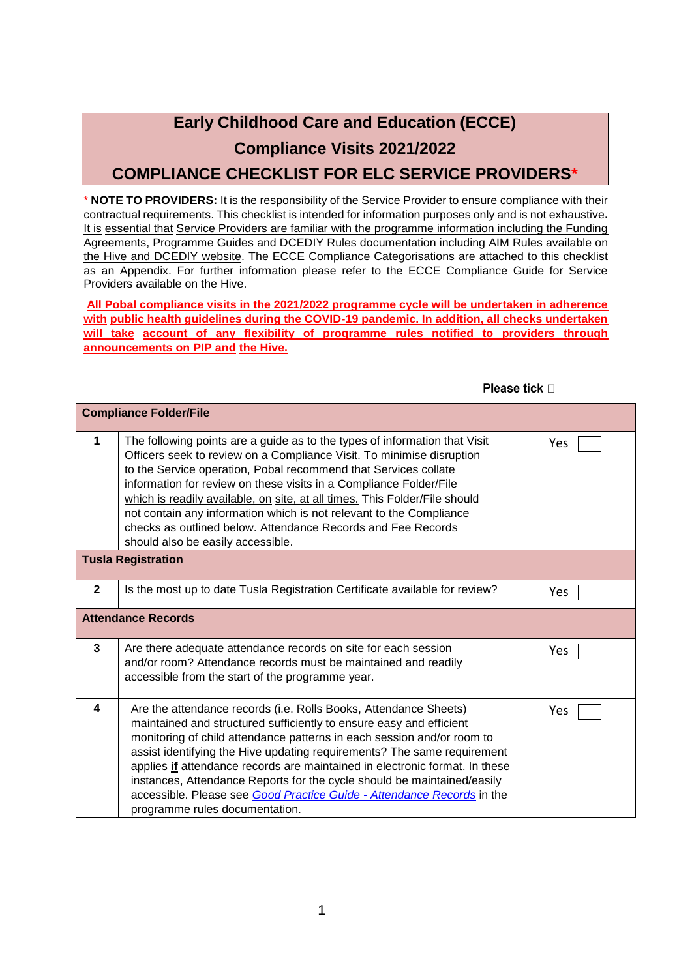## **Early Childhood Care and Education (ECCE) Compliance Visits 2021/2022 COMPLIANCE CHECKLIST FOR ELC SERVICE PROVIDERS\***

\* **NOTE TO PROVIDERS:** It is the responsibility of the Service Provider to ensure compliance with their contractual requirements. This checklist is intended for information purposes only and is not exhaustive**.**  It is essential that Service Providers are familiar with the programme information including the Funding Agreements, Programme Guides and DCEDIY Rules documentation including AIM Rules available on the Hive and DCEDIY website. The ECCE Compliance Categorisations are attached to this checklist as an Appendix. For further information please refer to the ECCE Compliance Guide for Service Providers available on the Hive.

**All Pobal compliance visits in the 2021/2022 programme cycle will be undertaken in adherence with public health guidelines during the COVID-19 pandemic. In addition, all checks undertaken will take account of any flexibility of programme rules notified to providers through announcements on PIP and the Hive.** 

| <b>Compliance Folder/File</b> |                                                                                                                                                                                                                                                                                                                                                                                                                                                                                                                                                                    |     |  |  |
|-------------------------------|--------------------------------------------------------------------------------------------------------------------------------------------------------------------------------------------------------------------------------------------------------------------------------------------------------------------------------------------------------------------------------------------------------------------------------------------------------------------------------------------------------------------------------------------------------------------|-----|--|--|
| 1                             | The following points are a guide as to the types of information that Visit<br>Officers seek to review on a Compliance Visit. To minimise disruption<br>to the Service operation, Pobal recommend that Services collate<br>information for review on these visits in a Compliance Folder/File<br>which is readily available, on site, at all times. This Folder/File should<br>not contain any information which is not relevant to the Compliance<br>checks as outlined below. Attendance Records and Fee Records<br>should also be easily accessible.             | Yes |  |  |
| <b>Tusla Registration</b>     |                                                                                                                                                                                                                                                                                                                                                                                                                                                                                                                                                                    |     |  |  |
| $\mathbf{2}$                  | Is the most up to date Tusla Registration Certificate available for review?                                                                                                                                                                                                                                                                                                                                                                                                                                                                                        | Yes |  |  |
| <b>Attendance Records</b>     |                                                                                                                                                                                                                                                                                                                                                                                                                                                                                                                                                                    |     |  |  |
| 3                             | Are there adequate attendance records on site for each session<br>and/or room? Attendance records must be maintained and readily<br>accessible from the start of the programme year.                                                                                                                                                                                                                                                                                                                                                                               | Yes |  |  |
| 4                             | Are the attendance records (i.e. Rolls Books, Attendance Sheets)<br>maintained and structured sufficiently to ensure easy and efficient<br>monitoring of child attendance patterns in each session and/or room to<br>assist identifying the Hive updating requirements? The same requirement<br>applies if attendance records are maintained in electronic format. In these<br>instances, Attendance Reports for the cycle should be maintained/easily<br>accessible. Please see Good Practice Guide - Attendance Records in the<br>programme rules documentation. | Yes |  |  |

Please tick D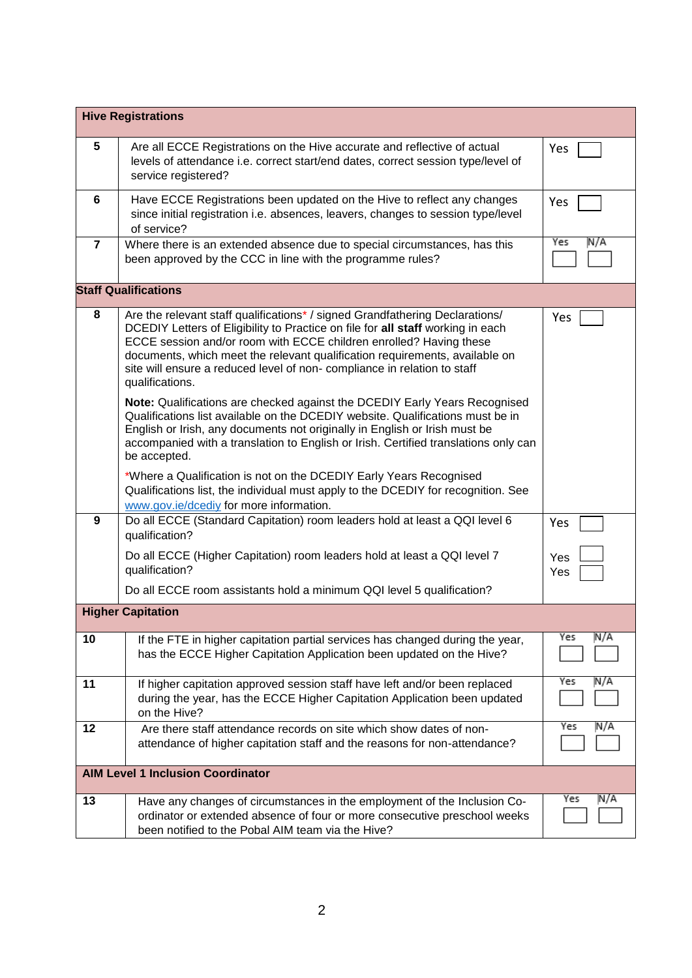| <b>Hive Registrations</b>                |                                                                                                                                                                                                                                                                                                                                                                                                                    |            |  |  |
|------------------------------------------|--------------------------------------------------------------------------------------------------------------------------------------------------------------------------------------------------------------------------------------------------------------------------------------------------------------------------------------------------------------------------------------------------------------------|------------|--|--|
| 5                                        | Are all ECCE Registrations on the Hive accurate and reflective of actual<br>levels of attendance i.e. correct start/end dates, correct session type/level of<br>service registered?                                                                                                                                                                                                                                | Yes        |  |  |
| 6                                        | Have ECCE Registrations been updated on the Hive to reflect any changes<br>since initial registration i.e. absences, leavers, changes to session type/level<br>of service?                                                                                                                                                                                                                                         | Yes        |  |  |
| $\overline{7}$                           | Where there is an extended absence due to special circumstances, has this<br>been approved by the CCC in line with the programme rules?                                                                                                                                                                                                                                                                            | Yes<br>N/A |  |  |
| <b>Staff Qualifications</b>              |                                                                                                                                                                                                                                                                                                                                                                                                                    |            |  |  |
| 8                                        | Are the relevant staff qualifications* / signed Grandfathering Declarations/<br>DCEDIY Letters of Eligibility to Practice on file for all staff working in each<br>ECCE session and/or room with ECCE children enrolled? Having these<br>documents, which meet the relevant qualification requirements, available on<br>site will ensure a reduced level of non-compliance in relation to staff<br>qualifications. | Yes        |  |  |
|                                          | Note: Qualifications are checked against the DCEDIY Early Years Recognised<br>Qualifications list available on the DCEDIY website. Qualifications must be in<br>English or Irish, any documents not originally in English or Irish must be<br>accompanied with a translation to English or Irish. Certified translations only can<br>be accepted.                                                                  |            |  |  |
|                                          | *Where a Qualification is not on the DCEDIY Early Years Recognised<br>Qualifications list, the individual must apply to the DCEDIY for recognition. See<br>www.gov.ie/dcediy for more information.                                                                                                                                                                                                                 |            |  |  |
| 9                                        | Do all ECCE (Standard Capitation) room leaders hold at least a QQI level 6<br>qualification?                                                                                                                                                                                                                                                                                                                       | Yes        |  |  |
|                                          | Do all ECCE (Higher Capitation) room leaders hold at least a QQI level 7<br>qualification?                                                                                                                                                                                                                                                                                                                         | Yes<br>Yes |  |  |
|                                          | Do all ECCE room assistants hold a minimum QQI level 5 qualification?                                                                                                                                                                                                                                                                                                                                              |            |  |  |
|                                          | <b>Higher Capitation</b>                                                                                                                                                                                                                                                                                                                                                                                           |            |  |  |
| 10                                       | If the FTE in higher capitation partial services has changed during the year,<br>has the ECCE Higher Capitation Application been updated on the Hive?                                                                                                                                                                                                                                                              | N/A<br>Yes |  |  |
| 11                                       | If higher capitation approved session staff have left and/or been replaced<br>during the year, has the ECCE Higher Capitation Application been updated<br>on the Hive?                                                                                                                                                                                                                                             | Yes<br>N/A |  |  |
| 12                                       | Are there staff attendance records on site which show dates of non-<br>attendance of higher capitation staff and the reasons for non-attendance?                                                                                                                                                                                                                                                                   | Yes<br>N/A |  |  |
| <b>AIM Level 1 Inclusion Coordinator</b> |                                                                                                                                                                                                                                                                                                                                                                                                                    |            |  |  |
| 13                                       | Have any changes of circumstances in the employment of the Inclusion Co-<br>ordinator or extended absence of four or more consecutive preschool weeks<br>been notified to the Pobal AIM team via the Hive?                                                                                                                                                                                                         | Yes<br>N/A |  |  |